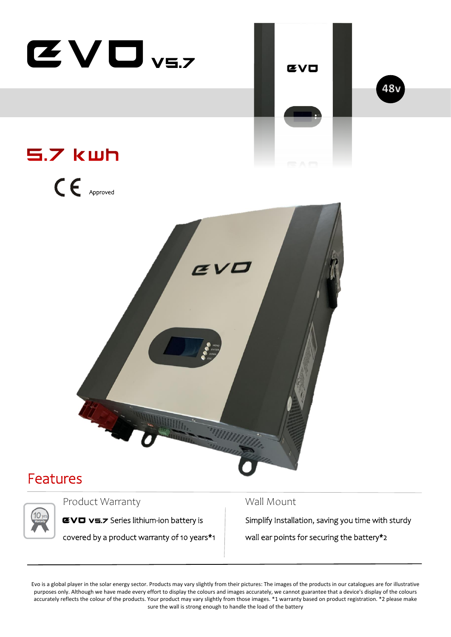

## Features

## Product Warranty Mall Mount

**EVO v5.7** Series lithium-ion battery is Simplify Installation, saving you time with sturdy covered by a product warranty of 10 years\*1  $\parallel$  wall ear points for securing the battery\*2

Evo is a global player in the solar energy sector. Products may vary slightly from their pictures: The images of the products in our catalogues are for illustrative purposes only. Although we have made every effort to display the colours and images accurately, we cannot guarantee that a device's display of the colours accurately reflects the colour of the products. Your product may vary slightly from those images. \*1 warranty based on product registration. \*2 please make sure the wall is strong enough to handle the load of the battery